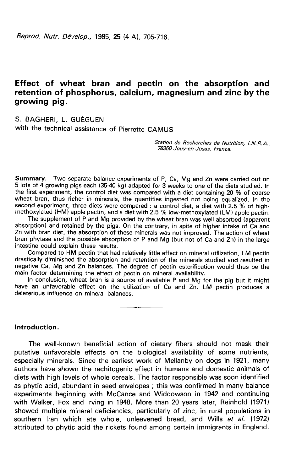Reprod. Nutr. Dévelop., 1985, 25 (4 A), 705-716.

# Effect of wheat bran and pectin on the absorption and retention of phosphorus, calcium, magnesium and zinc by the growing pig.

## S. BAGHERI. L. GUÉGUEN

with the technical assistance of Pierrette CAMUS

Station de Recherches de Nutrition, 1. N. R.A., 78350 Jouy-en-Josas, France.

Summary. Two separate balance experiments of P, Ca, Mg and Zn were carried out on 5 lots of 4 growing pigs each (35-40 kg) adapted for 3 weeks to one of the diets studied. In the first experiment, the control diet was compared with a diet containing 20 % of coarse wheat bran, thus richer in minerals, the quantities ingested not being equalized. In the second experiment, three diets were compared : a control diet. a diet with 2.5 % of high-

methoxylated (HM) apple pectin, and a diet with 2.5 % low-methoxylated (LM) apple pectin.<br>The supplement of P and Mg provided by the wheat bran was well absorbed (apparent absorption) and retained by the pigs. On the contr Zn with bran diet, the absorption of these minerals was not improved. The action of wheat bran phytase and the possible absorption of P and Mg (but not of Ca and Zn) in the large intestine could explain these results.

Compared to HM pectin that had relatively little effect on mineral utilization, LM pectin drastically diminished the absorption and retention of the minerals studied and resulted in negative Ca, Mg and Zn balances. The degree of pectin esterification would thus be the main factor determining the effect of pectin on mineral availability.<br>In conclusion, wheat bran is a source of available P and Mg for the pig but it might

have an unfavorable effect on the utilization of Ca and Zn. LM pectin produces a deleterious influence on mineral balances.

Introduction.

The well-known beneficial action of dietary fibers should not mask their putative unfavorable effects on the biological availability of some nutrients, especially minerals. Since the earliest work of Mellanby on dogs in 1921, many authors have shown the rachitogenic effect in humans and domestic animals of diets with high levels of whole cereals. The factor responsible was soon identified as phytic acid, abundant in seed envelopes ; this was confirmed in many balance experiments beginning with McCance and Widdowson in 1942 and continuing with Walker, Fox and Irving in 1948. More than 20 years later, Reinhold (1971) showed multiple mineral deficiencies, particularly of zinc, in rural populations in southern Iran which ate whole, unleavened bread, and Wills et al. (1972) attributed to phytic acid the rickets found among certain immigrants in England.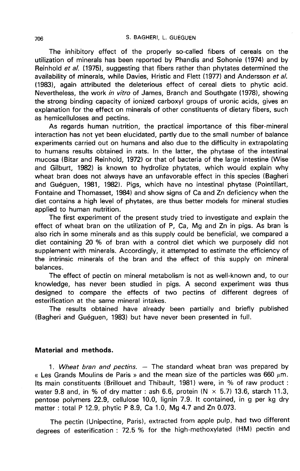The inhibitory effect of the properly so-called fibers of cereals on the utilization of minerals has been reported by Phandis and Sohonie (1974) and by Reinhold et al. (1975), suggesting that fibers rather than phytates determined the availability of minerals, while Davies. Hristic and Flett (1977) and Andersson et al. (1983), again attributed the deleterious effect of cereal diets to phytic acid. Nevertheless, the work in vitro of James, Branch and Southgate (1978), showing the strong binding capacity of ionized carboxyl groups of uronic acids, gives an explanation for the effect on minerals of other constituents of dietary fibers, such as hemicelluloses and pectins.

As regards human nutrition, the practical importance of this fiber-mineral interaction has not yet been elucidated, partly due to the small number of balance experiments carried out on humans and also due to the difficulty in extrapolating to humans results obtained in rats. In the latter, the phytase of the intestinal mucosa (Bitar and Reinhold, 1972) or that of bacteria of the large intestine (Wise and Gilburt, 1982) is known to hydrolize phytates, which would explain why wheat bran does not always have an unfavorable effect in this species (Bagheri and Guéguen, 1981, 1982). Pigs, which have no intestinal phytase (Pointillart, Fontaine and Thomasset, 1984) and show signs of Ca and Zn deficiency when the diet contains a high level of phytates, are thus better models for mineral studies applied to human nutrition.

The first experiment of the present study tried to investigate and explain the effect of wheat bran on the utilization of P. Ca. Mg and Zn in pigs. As bran is also rich in some minerals and as this supply could be beneficial, we compared a diet containing 20 % of bran with a control diet which we purposely did not supplement with minerals. Accordingly, it attempted to estimate the efficiency of the intrinsic minerals of the bran and the effect of this supply on mineral balances.

The effect of pectin on mineral metabolism is not as well-known and, to our knowledge, has never been studied in pigs. A second experiment was thus designed to compare the effects of two pectins of different degrees of esterification at the same mineral intakes.

The results obtained have already been partially and briefly published (Bagheri and Guéquen, 1983) but have never been presented in full.

### Material and methods.

1. Wheat bran and pectins. - The standard wheat bran was prepared by « Les Grands Moulins de Paris » and the mean size of the particles was 660  $\mu$ m. Its main constituents (Brillouet and Thibault, 1981) were, in % of raw product: water 9.8 and, in % of dry matter : ash 6.6, protein ( $N \times 5.7$ ) 13.6, starch 11.3, pentose polymers 22.9, cellulose 10.0, lignin 7.9. It contained, in g per kg dry matter: total P 12.9, phytic P 8.9, Ca 1.0, Mg 4.7 and Zn 0.073.

The pectin (Unipectine, Paris), extracted from apple pulp, had two different degrees of esterification: 72.5 % for the high-methoxylated (HM) pectin and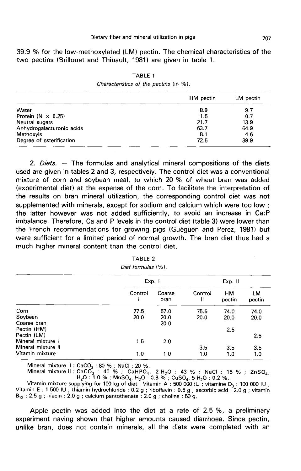39.9 % for the low-methoxylated (LM) pectin. The chemical characteristics of the two pectins (Brillouet and Thibault, 1981) are given in table 1.

|                           | HM pectin | LM pectin |
|---------------------------|-----------|-----------|
| Water                     | 8.9       | 9.7       |
| Protein (N $\times$ 6.25) | 1.5       | 0.7       |
| Neutral sugars            | 21.7      | 13.9      |
| Anhydrogalacturonic acids | 63.7      | 64.9      |
| Methoxyls                 | 8.1       | 4.6       |
| Degree of esterification  | 72.5      | 39.9      |

TABLE 1 Characteristics of the pectins (in %).

2. Diets. — The formulas and analytical mineral compositions of the diets used are given in tables 2 and 3, respectively. The control diet was a conventional mixture of corn and soybean meal, to which 20 % of wheat bran was added (experimental diet) at the expense of the corn. To facilitate the interpretation of the results on bran mineral utilization, the corresponding control diet was not supplemented with minerals, except for sodium and calcium which were too low ; the latter however was not added sufficiently, to avoid an increase in Ca:P imbalance. Therefore, Ca and P levels in the control diet (table 3) were lower than the French recommendations for growing pigs (Guéguen and Perez, 1981) but were sufficient for a limited period of normal growth. The bran diet thus had a much higher mineral content than the control diet.

| Diet formulas (%). |         |                |              |                     |               |  |
|--------------------|---------|----------------|--------------|---------------------|---------------|--|
|                    | Exp. I  |                | Exp. II      |                     |               |  |
|                    | Control | Coarse<br>bran | Control<br>П | <b>HM</b><br>pectin | LM.<br>pectin |  |
| Corn               | 77.5    | 57.0           | 75.5         | 74.0                | 74.0          |  |
| Soybean            | 20.0    | 20.0           | 20.0         | 20.0                | 20.0          |  |
| Coarse bran        |         | 20.0           |              |                     |               |  |
| Pectin (HM)        |         |                |              | 2.5                 |               |  |
| Pectin (LM)        |         |                |              |                     | 2.5           |  |
| Mineral mixture I  | 1.5     | 2.0            |              |                     |               |  |
| Mineral mixture II |         |                | 3.5          | 3.5                 | 3.5           |  |
| Vitamin mixture    | 1.0     | 1.0            | 1.0          | 1.0                 | 1.0           |  |

TABLE<sub>2</sub>

Mineral mixture  $1: CaCO<sub>3</sub>: 80 %$ ; NaCl: 20 %.

Mineral mixture II :  $CaCO_3$  : 40 % ;  $CaHPO_4$ , 2 H<sub>2</sub>O : 43 % ; NaCl : 15 % ; ZnSO<sub>4</sub>,  $H_2O: 1.0 %$ ; MnSO<sub>4</sub>, H<sub>2</sub>O : 0.8 %; CuSO<sub>4</sub>, 5 H<sub>2</sub>O : 0.2 %.

Vitamin mixture supplying for 100 kg of diet: Vitamin A: 500 000 IU; vitamine D<sub>3</sub>: 100 000 IU; Vitamin E: 1 500 IU; thiamin hydrochloride: 0.2 g; riboflavin: 0.5 g; ascorbic acid: 2.0 g; vitamin  $B_{12}$ : 2.5 g; niacin: 2.0 g; calcium pantothenate: 2.0 g; choline: 50 g.

Apple pectin was added into the diet at a rate of 2.5 %, a preliminary experiment having shown that higher amounts caused diarrhoea. Since pectin, unlike bran, does not contain minerals, all the diets were completed with an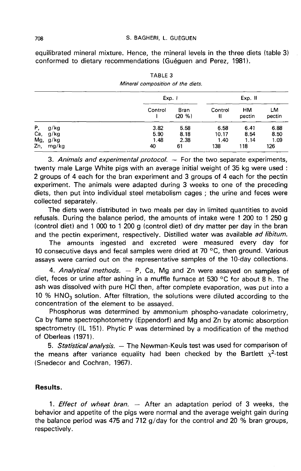equilibrated mineral mixture. Hence, the mineral levels in the three diets (table 3) conformed to dietary recommendations (Guéquen and Perez, 1981).

|     |              | Exp. I  |                     | Exp. II      |              |              |
|-----|--------------|---------|---------------------|--------------|--------------|--------------|
|     |              | Control | Bran<br>$(20 \, %)$ | Control<br>П | HM<br>pectin | LM<br>pectin |
| Р,  | $g/\kappa g$ | 3.82    | 5.58                | 6.58         | 6.41         | 6.88         |
| Ca, | g/kg         | 5.90    | 8.18                | 10.17        | 8.54         | 8.50         |
|     | Mg, g/kg     | 1.48    | 2.38                | 1.40         | 1.14         | 1.09         |
|     | Zn, mg/kg    | 40      | 61                  | 138          | 118          | 126          |

TABLE 3 Mineral composition of the diets.

3. Animals and experimental protocol.  $-$  For the two separate experiments, twenty male Large White pigs with an average initial weight of 35 kg were used : 2 groups of 4 each for the bran experiment and 3 groups of 4 each for the pectin experiment. The animals were adapted during 3 weeks to one of the preceding diets, then put into individual steel metabolism cages ; the urine and feces were collected separately.

The diets were distributed in two meals per day in limited quantities to avoid refusals. During the balance period, the amounts of intake were 1 200 to 1 250 g (control diet) and 1 000 to 1 200 g (control diet) of dry matter per day in the bran and the pectin experiment, respectively. Distilled water was available ad libitum.

The amounts ingested and excreted were measured every day for 10 consecutive days and fecal samples were dried at 70  $\degree$ C, then ground. Various assays were carried out on the representative samples of the 10-day collections.

4. Analytical methods.  $- P$ , Ca, Mg and Zn were assayed on samples of diet, feces or urine after ashing in a muffle furnace at 530 °C for about 8 h. The ash was dissolved with pure HCI then, after complete evaporation, was put into a 10 %  $HNO<sub>3</sub>$  solution. After filtration, the solutions were diluted according to the concentration of the element to be assayed.

Phosphorus was determined by ammonium phospho-vanadate colorimetry, Ca by flame spectrophotometry (Eppendorf) and Mg and Zn by atomic absorption spectrometry (IL 151). Phytic P was determined by a modification of the method of Oberleas (1971).

5. *Statistical analysis.* — The Newman-Keuls test was used for comparison of of Oberleas (1971).<br>
5. *Statistical analysis.* — The Newman-Keuls test was used for comparison of<br>
the means after variance equality had been checked by the Bartlett  $\chi^2$ -test<br>
(Spedecor and Cochran 1967) (Snedecor and Cochran, 1967).

## Results.

1. *Effect of wheat bran.* — After an adaptation period of 3 weeks, the behavior and appetite of the pigs were normal and the average weight gain during the balance period was 475 and 712 g/day for the control and 20 % bran groups, respectively.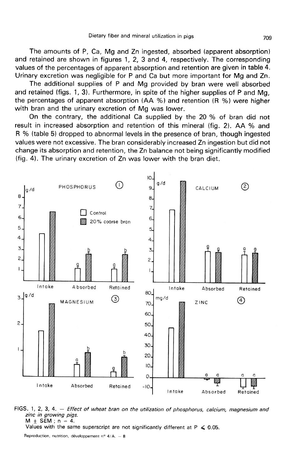The amounts of P, Ca, Mg and Zn ingested, absorbed (apparent absorption) and retained are shown in figures 1, 2, 3 and 4, respectively. The corresponding values of the percentages of apparent absorption and retention are given in table 4. Urinary excretion was negligible for P and Ca but more important for Mg and Zn.

The additional supplies of P and Mg provided by bran were well absorbed and retained (figs. 1, 3). Furthermore, in spite of the higher supplies of P and Mg, the percentages of apparent absorption (AA %) and retention (R %) were higher with bran and the urinary excretion of Mg was lower.

On the contrary, the additional Ca supplied by the 20 % of bran did not result in increased absorption and retention of this mineral (fig. 2). AA % and R % (table 5) dropped to abnormal levels in the presence of bran, though ingested values were not excessive. The bran considerably increased Zn ingestion but did not change its absorption and retention, the Zn balance not being significantly modified (fig. 4). The urinary excretion of Zn was lower with the bran diet.





Values with the same superscript are not significantly different at  $P \le 0.05$ .

Reproduction, nutrition, développement nº 4/A. - 8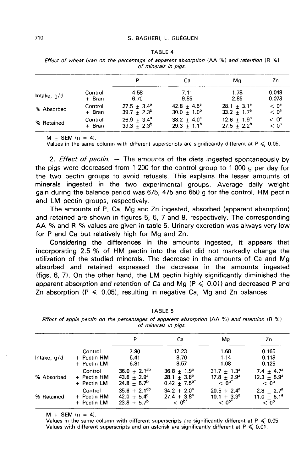#### TABLE 4

|             |          | Ρ                | Сa               | Ma                     | Zn                       |
|-------------|----------|------------------|------------------|------------------------|--------------------------|
| Intake, g/d | Control  | 4.58             | 7.11             | 1.78                   | 0.048                    |
|             | $+$ Bran | 6.70             | 9.85             | 2.85                   | 0.073                    |
| % Absorbed  | Control  | $27.5 + 3.4^a$   | $42.8 + 4.5^a$   | $28.1 + 3.1^a$         | $< 0^a$                  |
|             | + Bran   | $39.7 + 2.3^{b}$ | $30.0 + 1.0^{b}$ | $33.2 + 1.7^{\circ}$   | < 0 <sup>a</sup>         |
| % Retained  | Control  | $26.9 + 3.4^a$   | $38.2 + 4.0^a$   | $12.6 \pm 1.9^{\circ}$ | $\langle$ 0 <sup>a</sup> |
|             | + Bran   | $39.3 + 2.3^{b}$ | $29.3 + 1.1^{b}$ | $27.5 + 2.2^b$         | < 0 <sup>a</sup>         |

Effect of wheat bran on the percentage of apparent absorption  $(AA, \%)$  and retention  $(R, \%)$ of minerals in pigs.

 $M + SEM (n = 4)$ .

Values in the same column with different superscripts are significantly different at  $P \le 0.05$ .

2. Effect of pectin. - The amounts of the diets ingested spontaneously by the pigs were decreased from 1 200 for the control group to 1 000 g per day for the two pectin groups to avoid refusals. This explains the lesser amounts of minerals ingested in the two experimental groups. Average daily weight gain during the balance period was 675, 475 and 650 g for the control. HM pectin and LM pectin groups, respectively.

The amounts of P, Ca, Mg and Zn ingested, absorbed (apparent absorption) and retained are shown in figures 5, 6, 7 and 8, respectively. The corresponding AA % and R % values are given in table 5. Urinary excretion was always very low for P and Ca but relatively high for Mg and Zn.

Considering the differences in the amounts ingested, it appears that incorporating 2.5 % of HM pectin into the diet did not markedly change the utilization of the studied minerals. The decrease in the amounts of Ca and Mg absorbed and retained expressed the decrease in the amounts ingested (figs. 6, 7). On the other hand, the LM pectin highly significantly diminished the apparent absorption and retention of Ca and Mg ( $P \le 0.01$ ) and decreased P and Zn absorption ( $P \le 0.05$ ), resulting in negative Ca, Mg and Zn balances.

|             |             |                      | Cа                   | Ma                        | Zn                          |
|-------------|-------------|----------------------|----------------------|---------------------------|-----------------------------|
|             | Control     | 7.90                 | 12.23                | 1.68                      | 0.165                       |
| Intake, g/d | + Pectin HM | 6.41                 | 8.70                 | 1.14                      | 0.118                       |
|             | + Pectin LM | 6.81                 | 8.57                 | 1.08                      | 0.125                       |
| % Absorbed  | Control     | $36.0 + 2.1^{ab}$    | $36.8 + 1.9a$        | $31.7 + 1.3^a$            | $7.4 + 4.7^a$               |
|             | + Pectin HM | $43.6 + 2.9^{\circ}$ | $28.1 + 3.8^a$       | $17.8 \pm 2.9^a$          | 12.3 $\pm$ 5.9 <sup>a</sup> |
|             | + Pectin LM | $24.8 \pm 5.7^b$     | $0.42 + 7.5^{b}$     | < 0 <sup>p</sup>          | $0$                         |
| % Retained  | Control     | $35.6 + 2.1^{ab}$    | $34.2 + 2.0^a$       | $20.5 + 2.4^a$            | $2.8 + 2.7^a$               |
|             | + Pectin HM | $42.0 + 5.4^a$       | $27.4 \pm 3.8^a$     | $10.1 \pm 3.3^{\circ}$    | $11.0 + 6.1a$               |
|             | + Pectin LM | $23.8 + 5.7^b$       | $~<~0$ <sup>b*</sup> | $\langle 0^{b^*} \rangle$ | $\leq 0^{\circ}$            |

**TABLE 5** 

Effect of apple pectin on the percentages of apparent absorption (AA %) and retention (R %) of minerals in pigs.

M  $\pm$  SEM (n = 4).

Values in the same column with different superscripts are significantly different at  $P \le 0.05$ . Values with different superscripts and an asterisk are significantly different at  $P \le 0.01$ .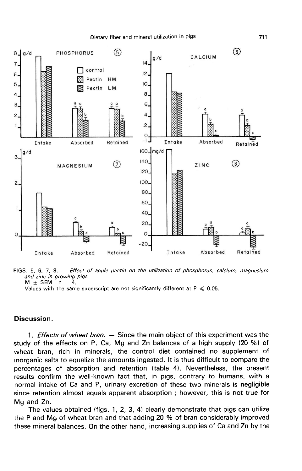## Dietary fiber and mineral utilization in pigs



FIGS. 5, 6, 7, 8. - Effect of apple pectin on the utilization of phosphorus, calcium, magnesium and zinc in growing pigs.  $M \pm$  SEM;  $n = 4$ .

Values with the same superscript are not significantly different at  $P \le 0.05$ .

## Discussion.

1. *Effects of wheat bran.* — Since the main object of this experiment was the study of the effects on P, Ca, Mg and Zn balances of a high supply (20 %) of wheat bran, rich in minerals, the control diet contained no supplement of inorganic salts to equalize the amounts ingested. It is thus difficult to compare the percentages of absorption and retention (table 4). Nevertheless, the present results confirm the well-known fact that, in pigs, contrary to humans, with a normal intake of Ca and P, urinary excretion of these two minerals is negligible since retention almost equals apparent absorption ; however, this is not true for Mg and Zn.

The values obtained (figs. 1, 2, 3, 4) clearly demonstrate that pigs can utilize the P and Mg of wheat bran and that adding 20 % of bran considerably improved these mineral balances. On the other hand, increasing supplies of Ca and Zn by the

711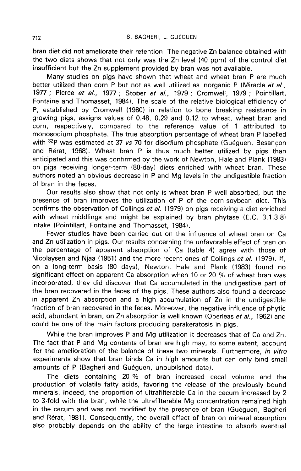bran diet did not ameliorate their retention. The negative Zn balance obtained with the two diets shows that not only was the Zn level (40 ppm) of the control diet insufficient but the Zn supplement provided by bran was not available.

Many studies on pigs have shown that wheat and wheat bran P are much better utilized than corn P but not as well utilized as inorganic P (Miracle et al., 1977 ; Pierce et al., 1977 ; Stober et al., 1979 ; Cromwell, 1979 ; Pointillart, Fontaine and Thomasset, 1984). The scale of the relative biological efficiency of P, established by Cromwell (1980) in relation to bone breaking resistance in growing pigs, assigns values of 0.48, 0.29 and 0.12 to wheat, wheat bran and corn, respectively, compared to the reference value of 1 attributed to monosodium phosphate. The true absorption percentage of wheat bran P labelled with <sup>32</sup>P was estimated at 37 vs 70 for disodium phosphate (Guéguen, Besancon and Rérat, 1968). Wheat bran P is thus much better utilized by pigs than anticipated and this was confirmed by the work of Newton, Hale and Plank (1983) on pigs receiving longer-term (80-day) diets enriched with wheat bran. These authors noted an obvious decrease in P and Mg levels in the undigestible fraction of bran in the feces.

Our results also show that not only is wheat bran P well absorbed, but the presence of bran improves the utilization of P of the corn-soybean diet. This confirms the observation of Collings et al. (1979) on pigs receiving a diet enriched with wheat middlings and might be explained by bran phytase (E.C. 3.1.3.8) intake (Pointillart, Fontaine and Thomasset, 1984).

Fewer studies have been carried out on the influence of wheat bran on Ca and Zn utilization in pigs. Our results concerning the unfavorable effect of bran on the percentage of apparent absorption of Ca (table 4) agree with those of Nicolaysen and Njaa (1951) and the more recent ones of Collings et al. (1979). If, on a long-term basis (80 days), Newton, Hale and Plank (1983) found no significant effect on apparent Ca absorption when 10 or 20 % of wheat bran was incorporated, they did discover that Ca accumulated in the undigestible part of the bran recovered in the feces of the pigs. These authors also found a decrease in apparent Zn absorption and a high accumulation of Zn in the undigestible fraction of bran recovered in the feces. Moreover, the negative influence of phytic acid, abundant in bran, on Zn absorption is well known (Oberleas et al., 1962) and could be one of the main factors producing parakeratosis in pigs.

While the bran improves P and Mg utilization it decreases that of Ca and Zn. The fact that P and Mg contents of bran are high may, to some extent, account for the amelioration of the balance of these two minerals. Furthermore, in vitro experiments show that bran binds Ca in high amounts but can only bind small amounts of P (Bagheri and Guéguen, unpublished data).

The diets containing 20 % of bran increased cecal volume and the production of volatile fatty acids, favoring the release of the previously bound minerals. Indeed, the proportion of ultrafilterable Ca in the cecum increased by 2 to 3-fold with the bran, while the ultrafilterable Mg concentration remained high in the cecum and was not modified by the presence of bran (Guéguen, Bagheri and Rérat, 1981). Consequently, the overall effect of bran on mineral absorption also probably depends on the ability of the large intestine to absorb eventual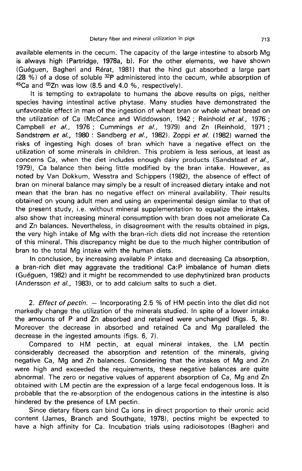available elements in the cecum. The capacity of the large intestine to absorb Mg is always high (Partridge, 1978a, b). For the other elements, we have shown (Guéguen, Bagheri and R6rat, 1981) that the hind gut absorbed a large part  $(28\%)$  of a dose of soluble <sup>32</sup>P administered into the cecum, while absorption of  $45$ Ca and  $65$ Zn was low (8.5 and 4.0 %, respectively).

It is tempting to extrapolate to humans the above results on pigs, neither species having intestinal active phytase. Many studies have demonstrated the unfavorable effect in man of the ingestion of wheat bran or whole wheat bread on the utilization of Ca (McCance and Widdowson, 1942; Reinhold et al., 1976; Campbell et  $al.$ , 1976; Cummings et  $al.$ , 1979) and Zn (Reinhold, 1971; Sandstrøm et al., 1980 : Sandberg et al., 1982). Zoppi et al. (1982) warned the risks of ingesting high doses of bran which have a negative effect on the utilization of some minerals in children. This problem is less serious, at least as concerns Ca, when the diet includes enough dairy products (Sandstead et al., 1979), Ca balance then being little modified by the bran intake. However, as noted by Van Dokkum, Wesstra and Schippers (1982), the absence of effect of bran on mineral balance may simply be a result of increased dietary intake and not mean that the bran has no negative effect on mineral availability. Their results obtained on young adult men and using an experimental design similar to that of the present study, i.e. without mineral supplementation to equalize the intakes, also show that increasing mineral consumption with bran does not ameliorate Ca and Zn balances. Nevertheless, in disagreement with the results obtained in pigs, the very high intake of Mg with the bran-rich diets did not increase the retention of this mineral. This discrepancy might be due to the much higher contribution of bran to the total Mg intake with the human diets.

In conclusion, by increasing available P intake and decreasing Ca absorption, a bran-rich diet may aggravate the traditional Ca:P imbalance of human diets (Guéguen, 1982) and it might be recommended to use dephytinized bran products (Andersson et al., 1983), or to add calcium salts to such a diet.

2. *Effect of pectin.* — Incorporating 2.5 % of HM pectin into the diet did not markedly change the utilization of the minerals studied. In spite of a lower intake the amounts of P and Zn absorbed and retained were unchanged (figs. 5, 8). Moreover the decrease in absorbed and retained Ca and Mg paralleled the decrease in the ingested amounts (figs. 6, 7).

Compared to HM pectin, at equal mineral intakes, the LM pectin considerably decreased the absorption and retention of the minerals, giving negative Ca, Mg and Zn balances. Considering that the intakes of Mg and Zn were high and exceeded the requirements, these negative balances are quite abnormal. The zero or negative values of apparent absorption of Ca, Mg and Zn obtained with LM pectin are the expression of a large fecal endogenous loss. It is probable that the re-absorption of the endogenous cations in the intestine is also hindered by the presence of LM pectin.

Since dietary fibers can bind Ca ions in direct proportion to their uronic acid content (James, Branch and Southgate, 1978), pectins might be expected to have a high affinity for Ca. Incubation trials using radioisotopes (Bagheri and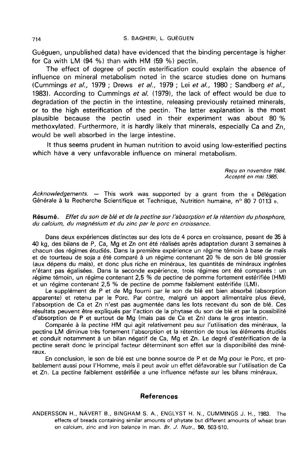Guéguen, unpublished data) have evidenced that the binding percentage is higher for Ca with LM (94 %) than with HM (59 %) pectin.

The effect of degree of pectin esterification could explain the absence of influence on mineral metabolism noted in the scarce studies done on humans (Cummings et al., 1979 ; Drews et al., 1979 ; Lei et al., 1980 ; Sandberg et al., 1983). According to Cummings et al. (1979), the lack of effect would be due to degradation of the pectin in the intestine, releasing previously retained minerals, or to the high esterification of the pectin. The latter explanation is the most plausible because the pectin used in their experiment was about 80 % methoxylated. Furthermore, it is hardly likely that minerals, especially Ca and Zn, would be well absorbed in the large intestine.

It thus seems prudent in human nutrition to avoid using low-esterified pectins which have a very unfavorable influence on mineral metabolism.

> Recu en novembre 1984. Accepté en mai 1985.

Acknowledgements.  $-$  This work was supported by a grant from the « Délégation Générale à la Recherche Scientifique et Technique, Nutrition humaine, n° 80 7 0113 ».

### Résumé. Effet du son de blé et de la pectine sur l'absorption et la rétention du phosphore, du calcium, du magnésium et du zinc par le porc en croissance.

Dans deux expériences distinctes sur des lots de 4 porcs en croissance, pesant de 35 à 40 kg, des bilans de P, Ca, Mg et Zn ont été réalisés après adaptation durant 3 semaines à chacun des régimes étudiés. Dans la première expérience un régime témoin à base de maïs et de tourteau de soja a été comparé à un régime contenant 20 % de son de blé grossier (aux dépens du maïs), et donc plus riche en minéraux, les quantités de minéraux ingérées n'étant pas égalisées. Dans la seconde expérience, trois régimes ont été comparés : un régime témoin, un régime contenant 2,5 % de pectine de pomme fortement estérifiée (HM) et un régime contenant 2,5 % de pectine de pomme faiblement estérifiée (LM).

Le supplément de P et de Mg fourni par le son de blé est bien absorbé (absorption apparente) et retenu par le Porc. Par contre, malgré un apport alimentaire plus élevé, l'absorption de Ca et Zn n'est pas augmentée dans les lots recevant du son de blé. Ces résultats peuvent être expliqués par l'action de la phytase du son de blé et par la possibilité d'absorption de P et surtout de Mg (mais pas de Ca et Zn) dans le gros intestin.

Comparée à la pectine HM qui agit relativement peu sur l'utilisation des minéraux, la pectine LM diminue très fortement l'absorption et la rétention de tous les éléments étudiés et conduit notamment à un bilan négatif de Ca, Mg et Zn. Le degré d'estérification de la pectine serait donc le principal facteur déterminant son effet sur la disponibilité des minéraux.

En conclusion, le son de blé est une bonne source de P et de Mg pour le Porc, et probablement aussi pour l'Homme, mais il peut avoir un effet défavorable sur l'utilisation de Ca et Zn. La pectine faiblement estérifiée a une influence néfaste sur les bilans minéraux.

## References

ANDERSSON H., NAVERT B., BINGHAM S. A., ENGLYST H. N., CUMMINGS J. H., 1983. The effects of breads containing similar amounts of phytate but different amounts of wheat bran on calcium, zinc and iron balance in man. Br. J. Nutr., 50, 503-510.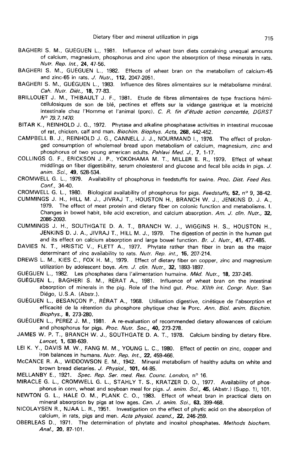- BAGHERI S. M., GUEGUEN L., 1981. Influence of wheat bran diets containing unequal amounts of calcium, magnesium, phosphorus and zinc upon the absorption of these minerals in rats. Nutr. Rep. Int., 24, 47-56.
- BAGHERI S. M., GUÉGUEN L., 1982. Effects of wheat bran on the metabolism of calcium-45 and zinc-65 in rats. J. Nutr., 112, 2047-2051.
- BAGHERI S. M., GUÉGUEN L., 1983. Influence des fibres alimentaires sur le métabolisme minéral. Cah. Nutr. Diét., 18, 77-83.
- BRILLOUET J. M., THIBAULT J. F., 1981. Etude de fibres alimentaires de type fractions hémicellulosiques de son de blé, pectines et effets sur la vidange gastrique et la motricité intestinale chez l'Homme et l'animal (porc). C. R. fin d'étude action concertée, DGRST N° 79.7.1470.
- BITAR K., REINHOLD J. G., 1972. Phytase and alkaline phosphatase activities in intestinal mucosae of rat, chicken, calf and man. Biochim. Biophys. Acta, 268, 442-452.
- CAMPBELL B. J., REINHOLD J. G., CANNELL J. J., NOURMAND 1., 1976. The effect of prolonged consumption of wholemeal bread upon metabolism of calcium, magnesium, zinc and phosphorus of two young american adults. Pahlavi Med. J., 7, 1-17.
- COLLINGS G. F., ERICKSON J. P., YOKOHAMA M. T., MILLER E. R., 1979. Effect of wheat middlings on fiber digestibility, serum cholesterol and glucose and fecal bile acids in pigs. J. anim. Sci., 49, 528-534.
- CROMWELL G. L., 1979. Availability of phosphorus in feedstuffs for swine. Proc. Dist. Feed Res. Conf., 34-40.
- CROMWELL G. L., 1980. Biological availability of phosphorus for pigs. Feedstuffs, 52, nº 9, 38-42.
- CUMMINGS J. H., HILL M. J., JIVRAJ T., HOUSTON H., BRANCH W. J., JENKINS D. J. A., 1979. The effect of meat protein and dietary fiber on colonic function and metabolisms. I. Changes in bowel habit, bile acid excretion, and calcium absorption. Am. J. clin. Nutr., 32, 2086-2093.
- CUMMINGS J. H., SOUTHGATE D. A. T., BRANCH W. J., WIGGINS H. S., HOUSTON H., JENKINS D. J. A., JIVRAJ T., HILL M. J., 1979. The digestion of pectin in the human gut and its effect on calcium absorption and large bowel function. Br. J. Nutr., 41, 477-485.
- DAVIES N. T., HRISTIC V., FLETT A., 1977. Phytate rather than fiber in bran as the major determinant of zinc availability to rats. Nutr. Rep. int., 15, 207-214.
- DREWS L. M., KIES C., FOX H. M., 1979. Effect of dietary fiber on copper, zinc and magnesium utilization by adolescent boys. Am. J. clin. Nutr., 32, 1893-1897.
- GUÉGUEN L., 1982. Les phosphates dans l'alimentation humaine. Méd. Nutr., 18, 237-245.
- GUÉGUEN L., BAGHERI S. M., RÉRAT A., 1981. Influence of wheat bran on the intestinal absorption of minerals in the pig. Role of the hind gut. Proc. XIIth int. Congr. Nutr. San Diégo, U.S.A. (Abstr.).
- GUÉGUEN L., BESANÇON P., RÉRAT A., 1968. Utilisation digestive, cinétique de l'absorption et efficacité de la rétention du phosphore phytique chez le Porc. Ann. Biol. anim. Biochim. Biophys., 8, 273-280.
- GUEGUEN L., PEREZ J. M., 1981. A re-evaluation of recommended dietary allowances of calcium and phosphorus for pigs. Proc. Nutr. Soc., 40, 273-278.
- JAMES W. P. T., BRANCH W. J., SOUTHGATE D. A. T., 1978. Calcium binding by dietary fibre. Lancet, 1, 638-639.
- LEI K. Y., DAVIS M. W., FANG M. M., YOUNG L. C., 1980. Effect of pectin on zinc, copper and iron balances in humans. Nutr. Rep. Int., 22, 459-466.
- McCANCE R. A., WIDDOWSON E. M., 1942. Mineral metabolism of healthy adults on white and brown bread dietaries. J. Physiol., 101, 44-85.
- MELLANBY E., 1921. Spec. Rep. Ser. med. Res. Counc. London, n° 16.
- MIRACLE G. L., CROMWELL G. L., STAHLY T. S., KRATZER D. 0., 1977. Availability of phosphorus in corn, wheat and soybean meal for pigs. J. anim. Sci., 45, (Abstr.) (Supp. 1), 101.
- NEWTON G. L., HALE O. M., PLANK C. 0., 1983. Effect of wheat bran in practical diets on mineral absorption by pigs at low ages. Can. J. anim. Sci., 63, 399-468.
- NICOLAYSEN R., NJAA L. R., 1951. Investigation on the effect of phytic acid on the absorption of calcium, in rats, pigs and men. Acta physiol. scand., 22, 246-259.
- OBERLEAS D., 1971. The determination of phytate and inositol phosphates. Methods biochem. Anal., 20, 87-101.